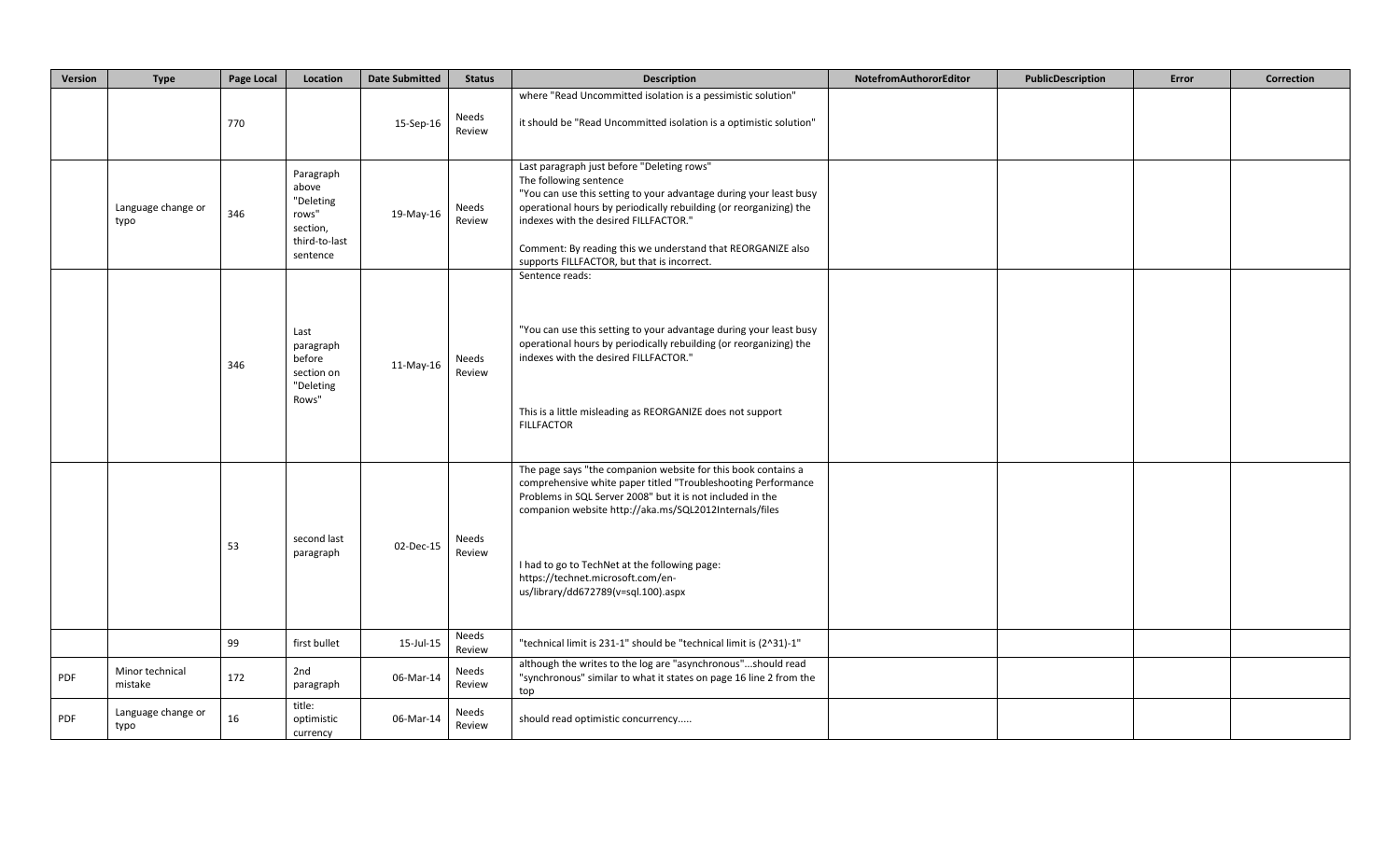| Version | <b>Type</b>                | Page Local | Location                                                                          | <b>Date Submitted</b> | <b>Status</b>   | <b>Description</b>                                                                                                                                                                                                                                                                                                                                                                  | NotefromAuthororEditor | PublicDescription | Error | Correction |
|---------|----------------------------|------------|-----------------------------------------------------------------------------------|-----------------------|-----------------|-------------------------------------------------------------------------------------------------------------------------------------------------------------------------------------------------------------------------------------------------------------------------------------------------------------------------------------------------------------------------------------|------------------------|-------------------|-------|------------|
|         |                            | 770        |                                                                                   | 15-Sep-16             | Needs<br>Review | where "Read Uncommitted isolation is a pessimistic solution"<br>it should be "Read Uncommitted isolation is a optimistic solution"                                                                                                                                                                                                                                                  |                        |                   |       |            |
|         | Language change or<br>typo | 346        | Paragraph<br>above<br>"Deleting<br>rows"<br>section,<br>third-to-last<br>sentence | 19-May-16             | Needs<br>Review | Last paragraph just before "Deleting rows"<br>The following sentence<br>"You can use this setting to your advantage during your least busy<br>operational hours by periodically rebuilding (or reorganizing) the<br>indexes with the desired FILLFACTOR."<br>Comment: By reading this we understand that REORGANIZE also<br>supports FILLFACTOR, but that is incorrect.             |                        |                   |       |            |
|         |                            | 346        | Last<br>paragraph<br>before<br>section on<br>"Deleting<br>Rows"                   | 11-May-16             | Needs<br>Review | Sentence reads:<br>"You can use this setting to your advantage during your least busy<br>operational hours by periodically rebuilding (or reorganizing) the<br>indexes with the desired FILLFACTOR."<br>This is a little misleading as REORGANIZE does not support<br><b>FILLFACTOR</b>                                                                                             |                        |                   |       |            |
|         |                            | 53         | second last<br>paragraph                                                          | 02-Dec-15             | Needs<br>Review | The page says "the companion website for this book contains a<br>comprehensive white paper titled "Troubleshooting Performance<br>Problems in SQL Server 2008" but it is not included in the<br>companion website http://aka.ms/SQL2012Internals/files<br>I had to go to TechNet at the following page:<br>https://technet.microsoft.com/en-<br>us/library/dd672789(v=sql.100).aspx |                        |                   |       |            |
|         |                            | 99         | first bullet                                                                      | 15-Jul-15             | Needs<br>Review | "technical limit is 231-1" should be "technical limit is (2^31)-1"                                                                                                                                                                                                                                                                                                                  |                        |                   |       |            |
| PDF     | Minor technical<br>mistake | 172        | 2nd<br>paragraph                                                                  | 06-Mar-14             | Needs<br>Review | although the writes to the log are "asynchronous"should read<br>"synchronous" similar to what it states on page 16 line 2 from the<br>top                                                                                                                                                                                                                                           |                        |                   |       |            |
| PDF     | Language change or<br>typo | 16         | title:<br>optimistic<br>currency                                                  | 06-Mar-14             | Needs<br>Review | should read optimistic concurrency                                                                                                                                                                                                                                                                                                                                                  |                        |                   |       |            |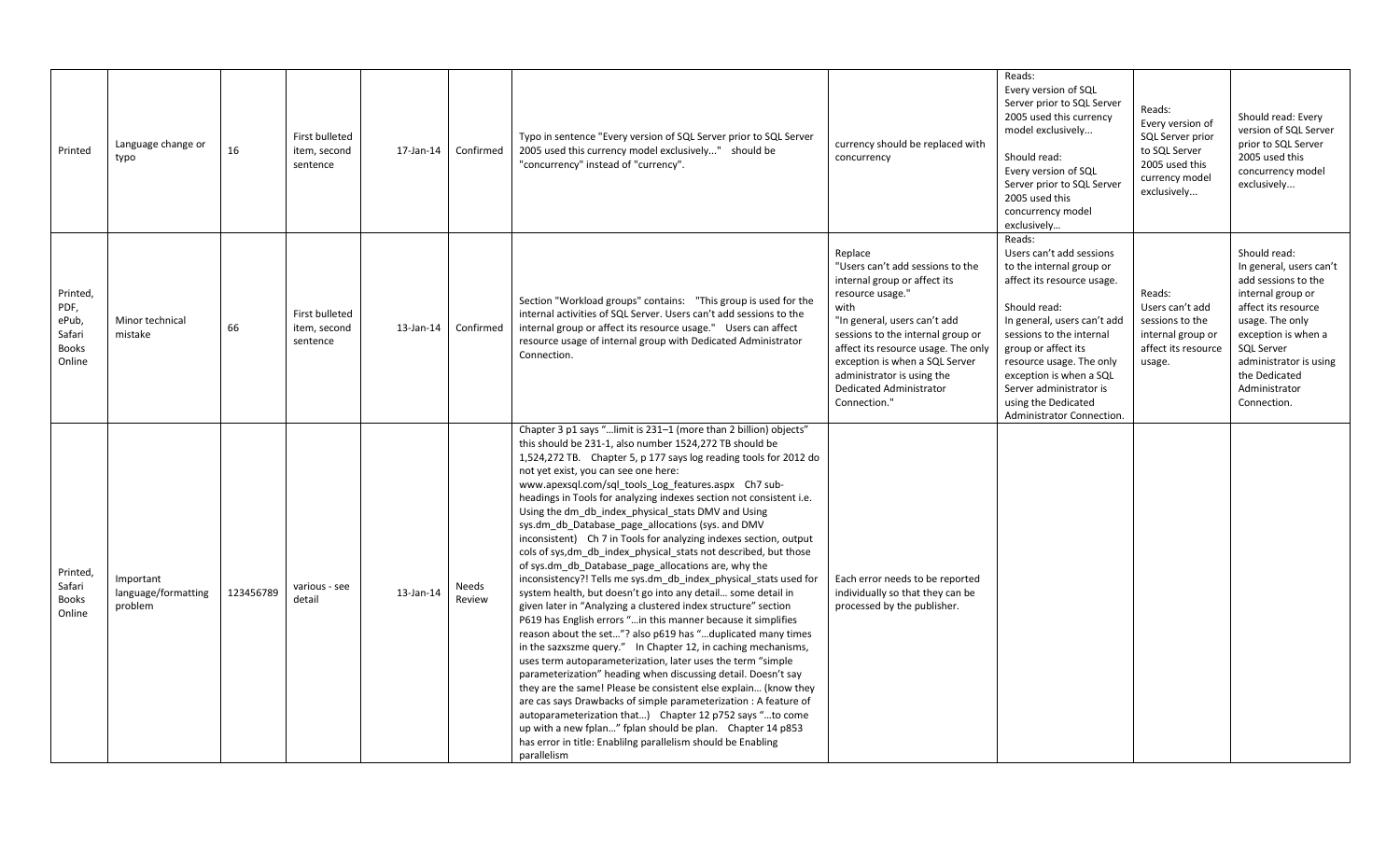| Printed                                                       | Language change or<br>typo                  | 16        | <b>First bulleted</b><br>item, second<br>sentence | 17-Jan-14 | Confirmed       | Typo in sentence "Every version of SQL Server prior to SQL Server<br>2005 used this currency model exclusively" should be<br>"concurrency" instead of "currency".                                                                                                                                                                                                                                                                                                                                                                                                                                                                                                                                                                                                                                                                                                                                                                                                                                                                                                                                                                                                                                                                                                                                                                                                                                                                                                                                                                                                          | currency should be replaced with<br>concurrency                                                                                                                                                                                                                                                                                | Reads:<br>Every version of SQL<br>Server prior to SQL Server<br>2005 used this currency<br>model exclusively<br>Should read:<br>Every version of SQL<br>Server prior to SQL Server<br>2005 used this<br>concurrency model<br>exclusively                                                                                             | Reads:<br>Every version of<br>SQL Server prior<br>to SQL Server<br>2005 used this<br>currency model<br>exclusively | Should read: Every<br>version of SQL Server<br>prior to SQL Server<br>2005 used this<br>concurrency model<br>exclusively                                                                                                                             |
|---------------------------------------------------------------|---------------------------------------------|-----------|---------------------------------------------------|-----------|-----------------|----------------------------------------------------------------------------------------------------------------------------------------------------------------------------------------------------------------------------------------------------------------------------------------------------------------------------------------------------------------------------------------------------------------------------------------------------------------------------------------------------------------------------------------------------------------------------------------------------------------------------------------------------------------------------------------------------------------------------------------------------------------------------------------------------------------------------------------------------------------------------------------------------------------------------------------------------------------------------------------------------------------------------------------------------------------------------------------------------------------------------------------------------------------------------------------------------------------------------------------------------------------------------------------------------------------------------------------------------------------------------------------------------------------------------------------------------------------------------------------------------------------------------------------------------------------------------|--------------------------------------------------------------------------------------------------------------------------------------------------------------------------------------------------------------------------------------------------------------------------------------------------------------------------------|--------------------------------------------------------------------------------------------------------------------------------------------------------------------------------------------------------------------------------------------------------------------------------------------------------------------------------------|--------------------------------------------------------------------------------------------------------------------|------------------------------------------------------------------------------------------------------------------------------------------------------------------------------------------------------------------------------------------------------|
| Printed,<br>PDF,<br>ePub,<br>Safari<br><b>Books</b><br>Online | Minor technical<br>mistake                  | 66        | First bulleted<br>item, second<br>sentence        | 13-Jan-14 | Confirmed       | Section "Workload groups" contains: "This group is used for the<br>internal activities of SQL Server. Users can't add sessions to the<br>internal group or affect its resource usage." Users can affect<br>resource usage of internal group with Dedicated Administrator<br>Connection.                                                                                                                                                                                                                                                                                                                                                                                                                                                                                                                                                                                                                                                                                                                                                                                                                                                                                                                                                                                                                                                                                                                                                                                                                                                                                    | Replace<br>"Users can't add sessions to the<br>internal group or affect its<br>resource usage."<br>with<br>"In general, users can't add<br>sessions to the internal group or<br>affect its resource usage. The only<br>exception is when a SQL Server<br>administrator is using the<br>Dedicated Administrator<br>Connection." | Reads:<br>Users can't add sessions<br>to the internal group or<br>affect its resource usage.<br>Should read:<br>In general, users can't add<br>sessions to the internal<br>group or affect its<br>resource usage. The only<br>exception is when a SQL<br>Server administrator is<br>using the Dedicated<br>Administrator Connection. | Reads:<br>Users can't add<br>sessions to the<br>internal group or<br>affect its resource<br>usage.                 | Should read:<br>In general, users can't<br>add sessions to the<br>internal group or<br>affect its resource<br>usage. The only<br>exception is when a<br><b>SQL Server</b><br>administrator is using<br>the Dedicated<br>Administrator<br>Connection. |
| Printed,<br>Safari<br><b>Books</b><br>Online                  | Important<br>language/formatting<br>problem | 123456789 | various - see<br>detail                           | 13-Jan-14 | Needs<br>Review | Chapter 3 p1 says " limit is 231-1 (more than 2 billion) objects"<br>this should be 231-1, also number 1524,272 TB should be<br>1,524,272 TB. Chapter 5, p 177 says log reading tools for 2012 do<br>not yet exist, you can see one here:<br>www.apexsql.com/sql tools Log features.aspx Ch7 sub-<br>headings in Tools for analyzing indexes section not consistent i.e.<br>Using the dm_db_index_physical_stats DMV and Using<br>sys.dm_db_Database_page_allocations (sys. and DMV<br>inconsistent) Ch 7 in Tools for analyzing indexes section, output<br>cols of sys,dm_db_index_physical_stats not described, but those<br>of sys.dm db Database page allocations are, why the<br>inconsistency?! Tells me sys.dm db index physical stats used for<br>system health, but doesn't go into any detail some detail in<br>given later in "Analyzing a clustered index structure" section<br>P619 has English errors " in this manner because it simplifies<br>reason about the set"? also p619 has "duplicated many times<br>in the sazxszme query." In Chapter 12, in caching mechanisms,<br>uses term autoparameterization, later uses the term "simple<br>parameterization" heading when discussing detail. Doesn't say<br>they are the same! Please be consistent else explain (know they<br>are cas says Drawbacks of simple parameterization : A feature of<br>autoparameterization that) Chapter 12 p752 says "to come<br>up with a new fplan" fplan should be plan. Chapter 14 p853<br>has error in title: Enablilng parallelism should be Enabling<br>parallelism | Each error needs to be reported<br>individually so that they can be<br>processed by the publisher.                                                                                                                                                                                                                             |                                                                                                                                                                                                                                                                                                                                      |                                                                                                                    |                                                                                                                                                                                                                                                      |